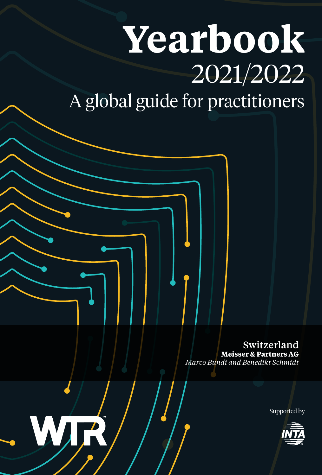# **Yearbook** 2021/2022 A global guide for practitioners

Switzerland **Meisser & Partners AG** *Marco Bundi and Benedikt Schmidt*

Supported by



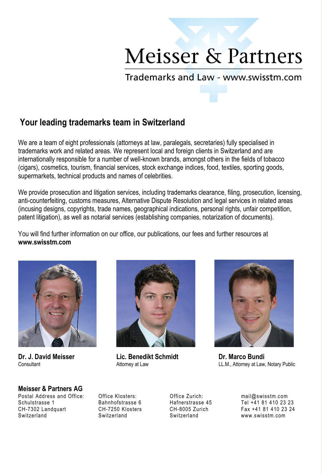## **Meisser & Partners**

Trademarks and Law - www.swisstm.com

### **Your leading trademarks team in Switzerland**

We are a team of eight professionals (attorneys at law, paralegals, secretaries) fully specialised in trademarks work and related areas. We represent local and foreign clients in Switzerland and are internationally responsible for a number of well-known brands, amongst others in the fields of tobacco (cigars), cosmetics, tourism, financial services, stock exchange indices, food, textiles, sporting goods, supermarkets, technical products and names of celebrities.

We provide prosecution and litigation services, including trademarks clearance, filing, prosecution, licensing, anti-counterfeiting, customs measures, Alternative Dispute Resolution and legal services in related areas (incusing designs, copyrights, trade names, geographical indications, personal rights, unfair competition, patent litigation), as well as notarial services (establishing companies, notarization of documents).

You will find further information on our office, our publications, our fees and further resources at **www.swisstm.com** 





**Dr. J. David Meisser Lic. Benedikt Schmidt Dr. Marco Bundi** 



LL.M., Attorney at Law, Notary Public

### **Meisser & Partners AG**

Postal Address and Office: Office Klosters: Office Zurich: mail@swisstm.com Schulstrasse 1 Bahnhofstrasse 6 Hafnerstrasse 45 Tel +41 81 410 23 23 Switzerland Switzerland Switzerland www.swisstm.com

Fax +41 81 410 23 24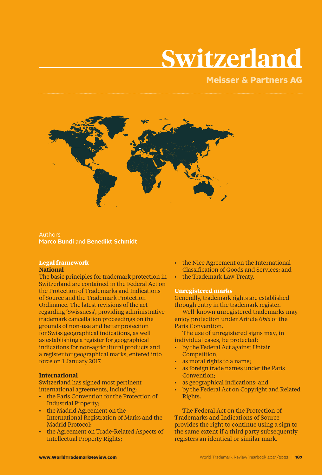## **Switzerland**

### Meisser & Partners AG



Authors **Marco Bundi** and **Benedikt Schmidt**

#### **Legal framework National**

The basic principles for trademark protection in Switzerland are contained in the Federal Act on the Protection of Trademarks and Indications of Source and the Trademark Protection Ordinance. The latest revisions of the act regarding 'Swissness', providing administrative trademark cancellation proceedings on the grounds of non-use and better protection for Swiss geographical indications, as well as establishing a register for geographical indications for non-agricultural products and a register for geographical marks, entered into force on 1 January 2017.

#### **International**

Switzerland has signed most pertinent international agreements, including:

- the Paris Convention for the Protection of Industrial Property;
- the Madrid Agreement on the International Registration of Marks and the Madrid Protocol;
- the Agreement on Trade-Related Aspects of Intellectual Property Rights;
- the Nice Agreement on the International Classification of Goods and Services; and
- the Trademark Law Treaty.

#### **Unregistered marks**

Generally, trademark rights are established through entry in the trademark register.

Well-known unregistered trademarks may enjoy protection under Article 6*bis* of the Paris Convention.

The use of unregistered signs may, in individual cases, be protected:

- by the Federal Act against Unfair Competition;
- as moral rights to a name;
- as foreign trade names under the Paris Convention;
- as geographical indications; and
- by the Federal Act on Copyright and Related Rights.

The Federal Act on the Protection of Trademarks and Indications of Source provides the right to continue using a sign to the same extent if a third party subsequently registers an identical or similar mark.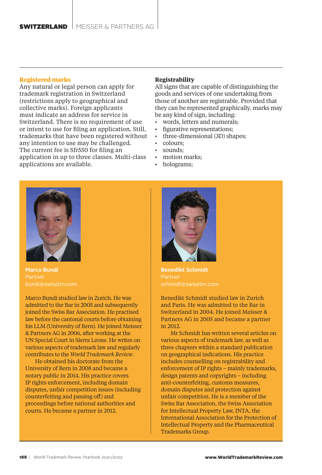#### **Registered marks**

Any natural or legal person can apply for trademark registration in Switzerland (restrictions apply to geographical and collective marks). Foreign applicants must indicate an address for service in Switzerland. There is no requirement of use or intent to use for filing an application. Still, trademarks that have been registered without any intention to use may be challenged. The current fee is Sfr550 for filing an application in up to three classes. Multi-class applications are available.

#### **Registrability**

All signs that are capable of distinguishing the goods and services of one undertaking from those of another are registrable. Provided that they can be represented graphically, marks may be any kind of sign, including:

- words, letters and numerals:
- figurative representations;
- three-dimensional (3D) shapes;
	- colours;
- sounds:
- motion marks;
- holograms;



**Marco Bundi**

Marco Bundi studied law in Zurich. He was admitted to the Bar in 2005 and subsequently joined the Swiss Bar Association. He practised law before the cantonal courts before obtaining his LLM (University of Bern). He joined Meisser & Partners AG in 2006, after working at the UN Special Court in Sierra Leone. He writes on various aspects of trademark law and regularly contributes to the *World Trademark Review*.

He obtained his doctorate from the University of Bern in 2008 and became a notary public in 2014. His practice covers IP rights enforcement, including domain disputes, unfair competition issues (including counterfeiting and passing off) and proceedings before national authorities and courts. He became a partner in 2012.



Partner schmidt@swisstm.com

Benedikt Schmidt studied law in Zurich and Paris. He was admitted to the Bar in Switzerland in 2004. He joined Meisser & Partners AG in 2005 and became a partner in 2012.

Mr Schmidt has written several articles on various aspects of trademark law, as well as three chapters within a standard publication on geographical indications. His practice includes counselling on registrability and enforcement of IP rights – mainly trademarks, design patents and copyrights – including anti-counterfeiting, customs measures, domain disputes and protection against unfair competition. He is a member of the Swiss Bar Association, the Swiss Association for Intellectual Property Law, INTA, the International Association for the Protection of Intellectual Property and the Pharmaceutical Trademarks Group.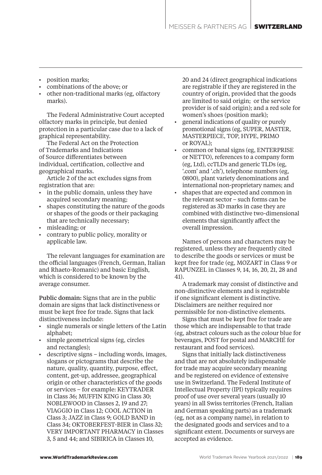- position marks;
- combinations of the above; or
- other non-traditional marks (eg, olfactory marks).

The Federal Administrative Court accepted olfactory marks in principle, but denied protection in a particular case due to a lack of graphical representability.

The Federal Act on the Protection of Trademarks and Indications of Source differentiates between individual, certification, collective and geographical marks.

Article 2 of the act excludes signs from registration that are:

- in the public domain, unless they have acquired secondary meaning;
- shapes constituting the nature of the goods or shapes of the goods or their packaging that are technically necessary;
- misleading; or
- contrary to public policy, morality or applicable law.

The relevant languages for examination are the official languages (French, German, Italian and Rhaeto-Romanic) and basic English, which is considered to be known by the average consumer.

Public domain: Signs that are in the public domain are signs that lack distinctiveness or must be kept free for trade. Signs that lack distinctiveness include:

- single numerals or single letters of the Latin alphabet;
- simple geometrical signs (eg, circles and rectangles);
- descriptive signs including words, images, slogans or pictograms that describe the nature, quality, quantity, purpose, effect, content, get-up, addressee, geographical origin or other characteristics of the goods or services – for example: KEYTRADER in Class 36; MUFFIN KING in Class 30; NOBLEWOOD in Classes 2, 19 and 27; VIAGGIO in Class 12; COOL ACTION in Class 3; JAZZ in Class 9; GOLD BAND in Class 34; OKTOBERFEST-BIER in Class 32; VERY IMPORTANT PHARMACY in Classes 3, 5 and 44; and SIBIRICA in Classes 10,

20 and 24 (direct geographical indications are registrable if they are registered in the country of origin, provided that the goods are limited to said origin; or the service provider is of said origin); and a red sole for women's shoes (position mark);

- general indications of quality or purely promotional signs (eg, SUPER, MASTER, MASTERPIECE, TOP, HYPE, PRIMO or ROYAL);
- common or banal signs (eg, ENTERPRISE or NETTO), references to a company form (eg, Ltd), ccTLDs and generic TLDs (eg, '.com' and '.ch'), telephone numbers (eg, 0800), plant variety denominations and international non-proprietary names; and
- shapes that are expected and common in the relevant sector – such forms can be registered as 3D marks in case they are combined with distinctive two-dimensional elements that significantly affect the overall impression.

Names of persons and characters may be registered, unless they are frequently cited to describe the goods or services or must be kept free for trade (eg, MOZART in Class 9 or RAPUNZEL in Classes 9, 14, 16, 20, 21, 28 and 41).

A trademark may consist of distinctive and non-distinctive elements and is registrable if one significant element is distinctive. Disclaimers are neither required nor permissible for non-distinctive elements.

Signs that must be kept free for trade are those which are indispensable to that trade (eg, abstract colours such as the colour blue for beverages, POST for postal and MARCHÉ for restaurant and food services).

Signs that initially lack distinctiveness and that are not absolutely indispensable for trade may acquire secondary meaning and be registered on evidence of extensive use in Switzerland. The Federal Institute of Intellectual Property (IPI) typically requires proof of use over several years (usually 10 years) in all Swiss territories (French, Italian and German speaking parts) as a trademark (eg, not as a company name), in relation to the designated goods and services and to a significant extent. Documents or surveys are accepted as evidence.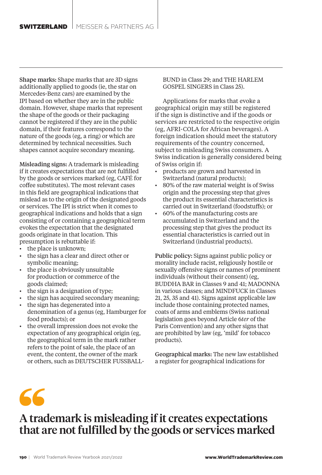Shape marks: Shape marks that are 3D signs additionally applied to goods (ie, the star on Mercedes-Benz cars) are examined by the IPI based on whether they are in the public domain. However, shape marks that represent the shape of the goods or their packaging cannot be registered if they are in the public domain, if their features correspond to the nature of the goods (eg, a ring) or which are determined by technical necessities. Such shapes cannot acquire secondary meaning.

Misleading signs: A trademark is misleading if it creates expectations that are not fulfilled by the goods or services marked (eg, CAFÉ for coffee substitutes). The most relevant cases in this field are geographical indications that mislead as to the origin of the designated goods or services. The IPI is strict when it comes to geographical indications and holds that a sign consisting of or containing a geographical term evokes the expectation that the designated goods originate in that location. This presumption is rebuttable if:

- the place is unknown;
- the sign has a clear and direct other or symbolic meaning;
- the place is obviously unsuitable for production or commerce of the goods claimed;
- the sign is a designation of type;
- the sign has acquired secondary meaning;
- the sign has degenerated into a denomination of a genus (eg, Hamburger for food products); or
- the overall impression does not evoke the expectation of any geographical origin (eg, the geographical term in the mark rather refers to the point of sale, the place of an event, the content, the owner of the mark or others, such as DEUTSCHER FUSSBALL-

BUND in Class 29; and THE HARLEM GOSPEL SINGERS in Class 25).

Applications for marks that evoke a geographical origin may still be registered if the sign is distinctive and if the goods or services are restricted to the respective origin (eg, AFRI-COLA for African beverages). A foreign indication should meet the statutory requirements of the country concerned, subject to misleading Swiss consumers. A Swiss indication is generally considered being of Swiss origin if:

- products are grown and harvested in Switzerland (natural products);
- 80% of the raw material weight is of Swiss origin and the processing step that gives the product its essential characteristics is carried out in Switzerland (foodstuffs); or
- 60% of the manufacturing costs are accumulated in Switzerland and the processing step that gives the product its essential characteristics is carried out in Switzerland (industrial products).

Public policy: Signs against public policy or morality include racist, religiously hostile or sexually offensive signs or names of prominent individuals (without their consent) (eg, BUDDHA BAR in Classes 9 and 41; MADONNA in various classes; and MINDFUCK in Classes 21, 25, 35 and 41). Signs against applicable law include those containing protected names, coats of arms and emblems (Swiss national legislation goes beyond Article 6*ter* of the Paris Convention) and any other signs that are prohibited by law (eg, 'mild' for tobacco products).

Geographical marks: The new law established a register for geographical indications for

## A trademark is misleading if it creates expectations that are not fulfilled by the goods or services marked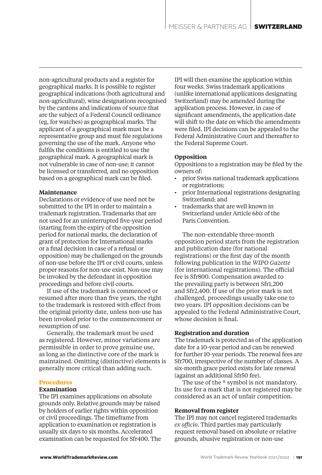non-agricultural products and a register for geographical marks. It is possible to register geographical indications (both agricultural and non-agricultural), wine designations recognised by the cantons and indications of source that are the subject of a Federal Council ordinance (eg, for watches) as geographical marks. The applicant of a geographical mark must be a representative group and must file regulations governing the use of the mark. Anyone who fulfils the conditions is entitled to use the geographical mark. A geographical mark is not vulnerable in case of non-use; it cannot be licensed or transferred, and no opposition based on a geographical mark can be filed.

#### **Maintenance**

Declarations or evidence of use need not be submitted to the IPI in order to maintain a trademark registration. Trademarks that are not used for an uninterrupted five-year period (starting from the expiry of the opposition period for national marks, the declaration of grant of protection for International marks or a final decision in case of a refusal or opposition) may be challenged on the grounds of non-use before the IPI or civil courts, unless proper reasons for non-use exist. Non-use may be invoked by the defendant in opposition proceedings and before civil courts.

If use of the trademark is commenced or resumed after more than five years, the right to the trademark is restored with effect from the original priority date, unless non-use has been invoked prior to the commencement or resumption of use.

Generally, the trademark must be used as registered. However, minor variations are permissible in order to prove genuine use, as long as the distinctive core of the mark is maintained. Omitting (distinctive) elements is generally more critical than adding such.

#### **Procedures**

#### **Examination**

The IPI examines applications on absolute grounds only. Relative grounds may be raised by holders of earlier rights within opposition or civil proceedings. The timeframe from application to examination or registration is usually six days to six months. Accelerated examination can be requested for Sfr400. The IPI will then examine the application within four weeks. Swiss trademark applications (unlike international applications designating Switzerland) may be amended during the application process. However, in case of significant amendments, the application date will shift to the date on which the amendments were filed. IPI decisions can be appealed to the Federal Administrative Court and thereafter to the Federal Supreme Court.

#### **Opposition**

Oppositions to a registration may be filed by the owners of:

- prior Swiss national trademark applications or registrations;
- prior International registrations designating Switzerland; and
- trademarks that are well known in Switzerland under Article 6*bis* of the Paris Convention.

The non-extendable three-month opposition period starts from the registration and publication date (for national registrations) or the first day of the month following publication in the *WIPO Gazette* (for international registrations). The official fee is Sfr800. Compensation awarded to the prevailing party is between Sfr1,200 and Sfr2,400. If use of the prior mark is not challenged, proceedings usually take one to two years. IPI opposition decisions can be appealed to the Federal Administrative Court, whose decision is final.

#### **Registration and duration**

The trademark is protected as of the application date for a 10-year period and can be renewed for further 10-year periods. The renewal fees are Sfr700, irrespective of the number of classes. A six-month grace period exists for late renewal (against an additional Sfr50 fee).

The use of the  $\circ$  symbol is not mandatory. Its use for a mark that is not registered may be considered as an act of unfair competition.

#### **Removal from register**

The IPI may not cancel registered trademarks *ex officio*. Third parties may particularly request removal based on absolute or relative grounds, abusive registration or non-use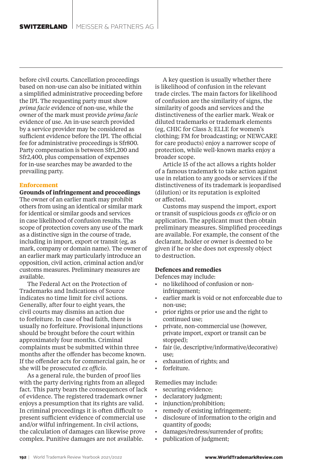before civil courts. Cancellation proceedings based on non-use can also be initiated within a simplified administrative proceeding before the IPI. The requesting party must show *prima facie* evidence of non-use, while the owner of the mark must provide *prima facie*  evidence of use. An in-use search provided by a service provider may be considered as sufficient evidence before the IPI. The official fee for administrative proceedings is Sfr800. Party compensation is between Sfr1,200 and Sfr2,400, plus compensation of expenses for in-use searches may be awarded to the prevailing party.

#### **Enforcement**

**Grounds of infringement and proceedings**  The owner of an earlier mark may prohibit others from using an identical or similar mark for identical or similar goods and services in case likelihood of confusion results. The scope of protection covers any use of the mark as a distinctive sign in the course of trade, including in import, export or transit (eg, as mark, company or domain name). The owner of an earlier mark may particularly introduce an opposition, civil action, criminal action and/or customs measures. Preliminary measures are available.

The Federal Act on the Protection of Trademarks and Indications of Source indicates no time limit for civil actions. Generally, after four to eight years, the civil courts may dismiss an action due to forfeiture. In case of bad faith, there is usually no forfeiture. Provisional injunctions should be brought before the court within approximately four months. Criminal complaints must be submitted within three months after the offender has become known. If the offender acts for commercial gain, he or she will be prosecuted *ex officio*.

As a general rule, the burden of proof lies with the party deriving rights from an alleged fact. This party bears the consequences of lack of evidence. The registered trademark owner enjoys a presumption that its rights are valid. In criminal proceedings it is often difficult to present sufficient evidence of commercial use and/or wilful infringement. In civil actions, the calculation of damages can likewise prove complex. Punitive damages are not available.

A key question is usually whether there is likelihood of confusion in the relevant trade circles. The main factors for likelihood of confusion are the similarity of signs, the similarity of goods and services and the distinctiveness of the earlier mark. Weak or diluted trademarks or trademark elements (eg, CHIC for Class 3; ELLE for women's clothing; FM for broadcasting; or NEWCARE for care products) enjoy a narrower scope of protection, while well-known marks enjoy a broader scope.

Article 15 of the act allows a rights holder of a famous trademark to take action against use in relation to any goods or services if the distinctiveness of its trademark is jeopardised (dilution) or its reputation is exploited or affected.

Customs may suspend the import, export or transit of suspicious goods *ex officio* or on application. The applicant must then obtain preliminary measures. Simplified proceedings are available. For example, the consent of the declarant, holder or owner is deemed to be given if he or she does not expressly object to destruction.

#### **Defences and remedies**

Defences may include:

- no likelihood of confusion or noninfringement;
- earlier mark is void or not enforceable due to non-use;
- prior rights or prior use and the right to continued use;
- private, non-commercial use (however, private import, export or transit can be stopped);
- fair (ie, descriptive/informative/decorative) use;
- exhaustion of rights; and
- forfeiture.

Remedies may include:

- securing evidence:
- declaratory judgment;
- injunction/prohibition;
- remedy of existing infringement;
- disclosure of information to the origin and quantity of goods;
- damages/redress/surrender of profits;
	- publication of judgment;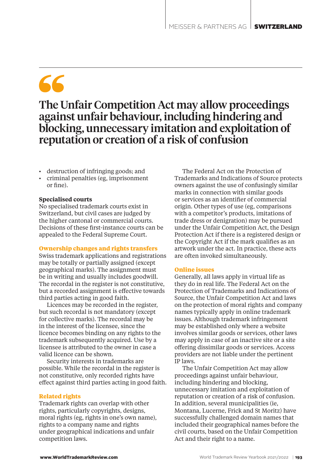## 66

## The Unfair Competition Act may allow proceedings against unfair behaviour, including hindering and blocking, unnecessary imitation and exploitation of reputation or creation of a risk of confusion

- destruction of infringing goods; and
- criminal penalties (eg, imprisonment or fine).

#### **Specialised courts**

No specialised trademark courts exist in Switzerland, but civil cases are judged by the higher cantonal or commercial courts. Decisions of these first-instance courts can be appealed to the Federal Supreme Court.

#### **Ownership changes and rights transfers**

Swiss trademark applications and registrations may be totally or partially assigned (except geographical marks). The assignment must be in writing and usually includes goodwill. The recordal in the register is not constitutive, but a recorded assignment is effective towards third parties acting in good faith.

Licences may be recorded in the register, but such recordal is not mandatory (except for collective marks). The recordal may be in the interest of the licensee, since the licence becomes binding on any rights to the trademark subsequently acquired. Use by a licensee is attributed to the owner in case a valid licence can be shown.

Security interests in trademarks are possible. While the recordal in the register is not constitutive, only recorded rights have effect against third parties acting in good faith.

#### **Related rights**

Trademark rights can overlap with other rights, particularly copyrights, designs, moral rights (eg, rights in one's own name), rights to a company name and rights under geographical indications and unfair competition laws.

The Federal Act on the Protection of Trademarks and Indications of Source protects owners against the use of confusingly similar marks in connection with similar goods or services as an identifier of commercial origin. Other types of use (eg, comparisons with a competitor's products, imitations of trade dress or denigration) may be pursued under the Unfair Competition Act, the Design Protection Act if there is a registered design or the Copyright Act if the mark qualifies as an artwork under the act. In practice, these acts are often invoked simultaneously.

#### **Online issues**

Generally, all laws apply in virtual life as they do in real life. The Federal Act on the Protection of Trademarks and Indications of Source, the Unfair Competition Act and laws on the protection of moral rights and company names typically apply in online trademark issues. Although trademark infringement may be established only where a website involves similar goods or services, other laws may apply in case of an inactive site or a site offering dissimilar goods or services. Access providers are not liable under the pertinent IP laws.

The Unfair Competition Act may allow proceedings against unfair behaviour, including hindering and blocking, unnecessary imitation and exploitation of reputation or creation of a risk of confusion. In addition, several municipalities (ie, Montana, Lucerne, Frick and St Moritz) have successfully challenged domain names that included their geographical names before the civil courts, based on the Unfair Competition Act and their right to a name.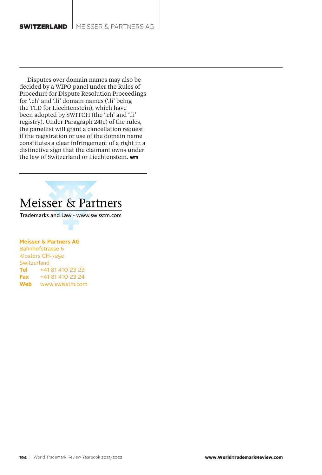#### **SWITZERLAND**  $M$  meisser & partners ag

Disputes over domain names may also be decided by a WIPO panel under the Rules of Procedure for Dispute Resolution Proceedings for '.ch' and '.li' domain names ('.li' being the TLD for Liechtenstein), which have been adopted by SWITCH (the '.ch' and '.li' registry). Under Paragraph 24(c) of the rules, the panellist will grant a cancellation request if the registration or use of the domain name constitutes a clear infringement of a right in a distinctive sign that the claimant owns under the law of Switzerland or Liechtenstein. WR

## Meisser & Partners

Trademarks and Law - www.swisstm.com

#### **Meisser & Partners AG**

Bahnhofstrasse 6 Klosters CH-7250 **Switzerland Tel** +41 81 410 23 23 **Fax** +41 81 410 23 24 **Web** www.swisstm.com